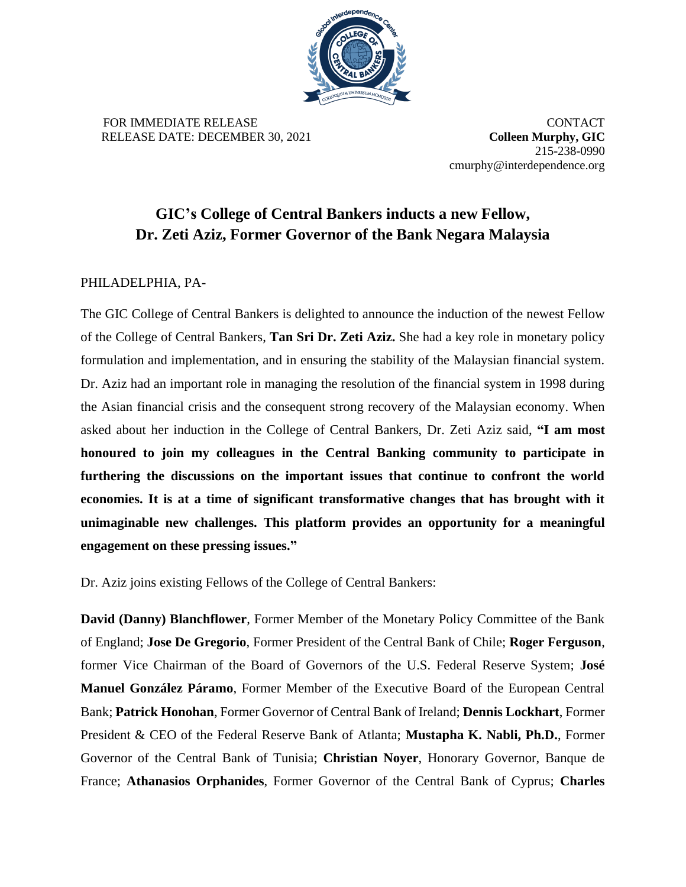

FOR IMMEDIATE RELEASE **CONTACT** RELEASE DATE: DECEMBER 30, 2021 **Colleen Murphy, GIC**

215-238-0990 cmurphy@interdependence.org

## **GIC's College of Central Bankers inducts a new Fellow, Dr. Zeti Aziz, Former Governor of the Bank Negara Malaysia**

## PHILADELPHIA, PA-

The GIC College of Central Bankers is delighted to announce the induction of the newest Fellow of the College of Central Bankers, **Tan Sri Dr. Zeti Aziz.** She had a key role in monetary policy formulation and implementation, and in ensuring the stability of the Malaysian financial system. Dr. Aziz had an important role in managing the resolution of the financial system in 1998 during the Asian financial crisis and the consequent strong recovery of the Malaysian economy. When asked about her induction in the College of Central Bankers, Dr. Zeti Aziz said, **"I am most honoured to join my colleagues in the Central Banking community to participate in furthering the discussions on the important issues that continue to confront the world economies. It is at a time of significant transformative changes that has brought with it unimaginable new challenges. This platform provides an opportunity for a meaningful engagement on these pressing issues."**

Dr. Aziz joins existing Fellows of the College of Central Bankers:

**David (Danny) Blanchflower**, Former Member of the Monetary Policy Committee of the Bank of England; **Jose De Gregorio**, Former President of the Central Bank of Chile; **Roger Ferguson**, former Vice Chairman of the Board of Governors of the U.S. Federal Reserve System; **José Manuel González Páramo**, Former Member of the Executive Board of the European Central Bank; **Patrick Honohan**, Former Governor of Central Bank of Ireland; **Dennis Lockhart**, Former President & CEO of the Federal Reserve Bank of Atlanta; **Mustapha K. Nabli, Ph.D.**, Former Governor of the Central Bank of Tunisia; **Christian Noyer**, Honorary Governor, Banque de France; **Athanasios Orphanides**, Former Governor of the Central Bank of Cyprus; **Charles**